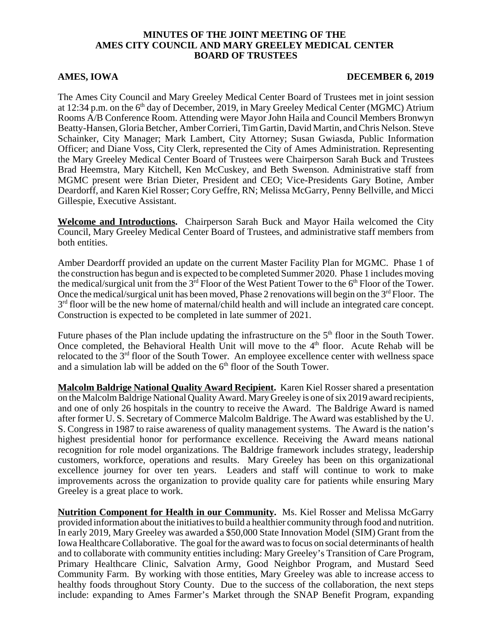## **MINUTES OF THE JOINT MEETING OF THE AMES CITY COUNCIL AND MARY GREELEY MEDICAL CENTER BOARD OF TRUSTEES**

## **AMES, IOWA** DECEMBER 6, 2019

The Ames City Council and Mary Greeley Medical Center Board of Trustees met in joint session at 12:34 p.m. on the 6<sup>th</sup> day of December, 2019, in Mary Greeley Medical Center (MGMC) Atrium Rooms A/B Conference Room. Attending were Mayor John Haila and Council Members Bronwyn Beatty-Hansen, Gloria Betcher, Amber Corrieri, Tim Gartin, David Martin, and Chris Nelson. Steve Schainker, City Manager; Mark Lambert, City Attorney; Susan Gwiasda, Public Information Officer; and Diane Voss, City Clerk, represented the City of Ames Administration. Representing the Mary Greeley Medical Center Board of Trustees were Chairperson Sarah Buck and Trustees Brad Heemstra, Mary Kitchell, Ken McCuskey, and Beth Swenson. Administrative staff from MGMC present were Brian Dieter, President and CEO; Vice-Presidents Gary Botine, Amber Deardorff, and Karen Kiel Rosser; Cory Geffre, RN; Melissa McGarry, Penny Bellville, and Micci Gillespie, Executive Assistant.

**Welcome and Introductions.** Chairperson Sarah Buck and Mayor Haila welcomed the City Council, Mary Greeley Medical Center Board of Trustees, and administrative staff members from both entities.

Amber Deardorff provided an update on the current Master Facility Plan for MGMC. Phase 1 of the construction has begun and is expected to be completed Summer 2020. Phase 1 includes moving the medical/surgical unit from the  $3<sup>rd</sup>$  Floor of the West Patient Tower to the 6<sup>th</sup> Floor of the Tower. Once the medical/surgical unit has been moved, Phase 2 renovations will begin on the 3<sup>rd</sup> Floor. The  $3<sup>rd</sup>$  floor will be the new home of maternal/child health and will include an integrated care concept. Construction is expected to be completed in late summer of 2021.

Future phases of the Plan include updating the infrastructure on the  $5<sup>th</sup>$  floor in the South Tower. Once completed, the Behavioral Health Unit will move to the  $4<sup>th</sup>$  floor. Acute Rehab will be relocated to the 3<sup>rd</sup> floor of the South Tower. An employee excellence center with wellness space and a simulation lab will be added on the  $6<sup>th</sup>$  floor of the South Tower.

**Malcolm Baldrige National Quality Award Recipient.** Karen Kiel Rosser shared a presentation on the Malcolm Baldrige National Quality Award. Mary Greeley is one of six 2019 award recipients, and one of only 26 hospitals in the country to receive the Award. The Baldrige Award is named after former U. S. Secretary of Commerce Malcolm Baldrige. The Award was established by the U. S. Congress in 1987 to raise awareness of quality management systems. The Award is the nation's highest presidential honor for performance excellence. Receiving the Award means national recognition for role model organizations. The Baldrige framework includes strategy, leadership customers, workforce, operations and results. Mary Greeley has been on this organizational excellence journey for over ten years. Leaders and staff will continue to work to make improvements across the organization to provide quality care for patients while ensuring Mary Greeley is a great place to work.

**Nutrition Component for Health in our Community.** Ms. Kiel Rosser and Melissa McGarry provided information about the initiatives to build a healthier community through food and nutrition. In early 2019, Mary Greeley was awarded a \$50,000 State Innovation Model (SIM) Grant from the Iowa Healthcare Collaborative. The goal for the award was to focus on social determinants of health and to collaborate with community entities including: Mary Greeley's Transition of Care Program, Primary Healthcare Clinic, Salvation Army, Good Neighbor Program, and Mustard Seed Community Farm. By working with those entities, Mary Greeley was able to increase access to healthy foods throughout Story County. Due to the success of the collaboration, the next steps include: expanding to Ames Farmer's Market through the SNAP Benefit Program, expanding